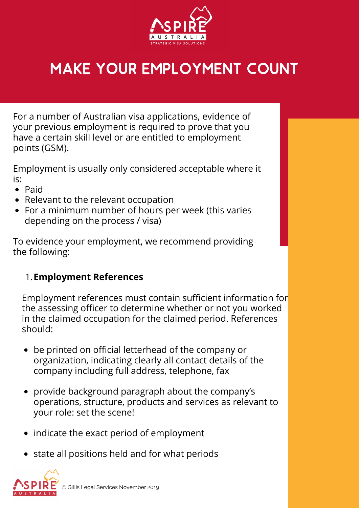

## MAKE YOUR EMPLOYMENT COUNT

For a number of Australian visa applications, evidence of your previous employment is required to prove that you have a certain skill level or are entitled to employment points (GSM).

Employment is usually only considered acceptable where it is:

- Paid
- Relevant to the relevant occupation
- For a minimum number of hours per week (this varies depending on the process / visa)

To evidence your employment, we recommend providing the following:

## **Employment References** 1.

Employment references must contain sufficient information for the assessing officer to determine whether or not you worked in the claimed occupation for the claimed period. References should:

- be printed on official letterhead of the company or organization, indicating clearly all contact details of the company including full address, telephone, fax
- provide background paragraph about the company's operations, structure, products and services as relevant to your role: set the scene!
- indicate the exact period of employment
- state all positions held and for what periods

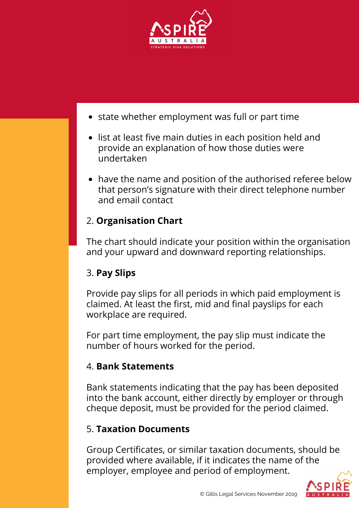



## 5. **Taxation Documents**

Group Certificates, or similar taxation documents, should be provided where available, if it indicates the name of the employer, employee and period of employment.